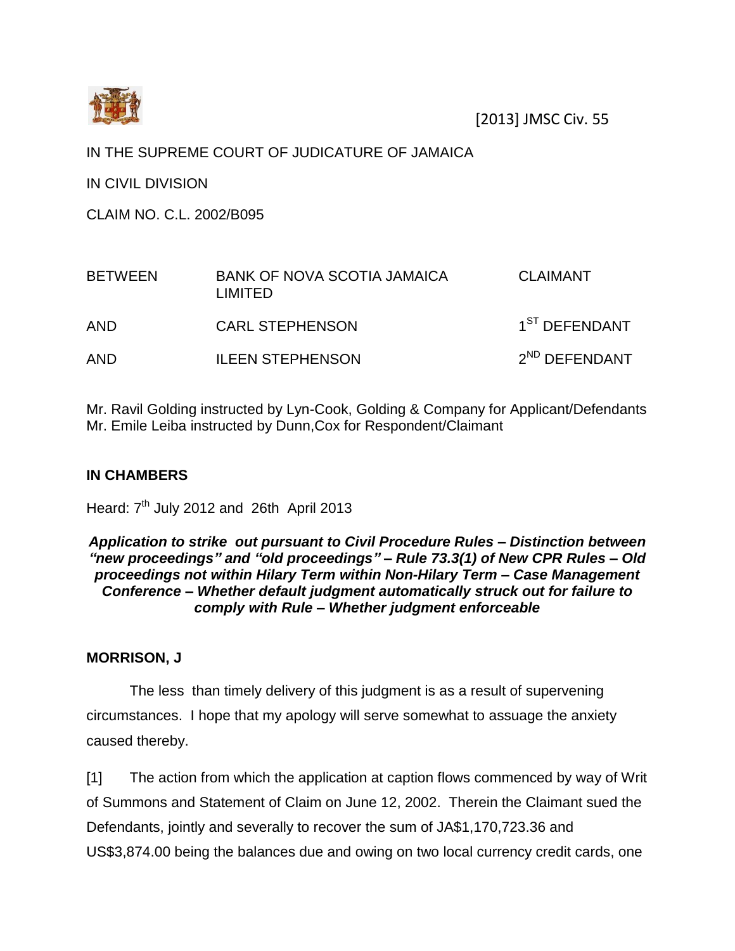

### IN THE SUPREME COURT OF JUDICATURE OF JAMAICA

IN CIVIL DIVISION

CLAIM NO. C.L. 2002/B095

| <b>BETWEEN</b> | <b>BANK OF NOVA SCOTIA JAMAICA</b><br>I IMITED. | <b>CLAIMANT</b>           |
|----------------|-------------------------------------------------|---------------------------|
| AND            | <b>CARL STEPHENSON</b>                          | 1 <sup>ST</sup> DEFENDANT |
| <b>AND</b>     | <b>ILEEN STEPHENSON</b>                         | $2^{ND}$ DEFENDANT        |

Mr. Ravil Golding instructed by Lyn-Cook, Golding & Company for Applicant/Defendants Mr. Emile Leiba instructed by Dunn,Cox for Respondent/Claimant

## **IN CHAMBERS**

Heard:  $7<sup>th</sup>$  July 2012 and 26th April 2013

#### *Application to strike out pursuant to Civil Procedure Rules – Distinction between "new proceedings" and "old proceedings" – Rule 73.3(1) of New CPR Rules – Old proceedings not within Hilary Term within Non-Hilary Term – Case Management Conference – Whether default judgment automatically struck out for failure to comply with Rule – Whether judgment enforceable*

#### **MORRISON, J**

The less than timely delivery of this judgment is as a result of supervening circumstances. I hope that my apology will serve somewhat to assuage the anxiety caused thereby.

[1] The action from which the application at caption flows commenced by way of Writ of Summons and Statement of Claim on June 12, 2002. Therein the Claimant sued the Defendants, jointly and severally to recover the sum of JA\$1,170,723.36 and US\$3,874.00 being the balances due and owing on two local currency credit cards, one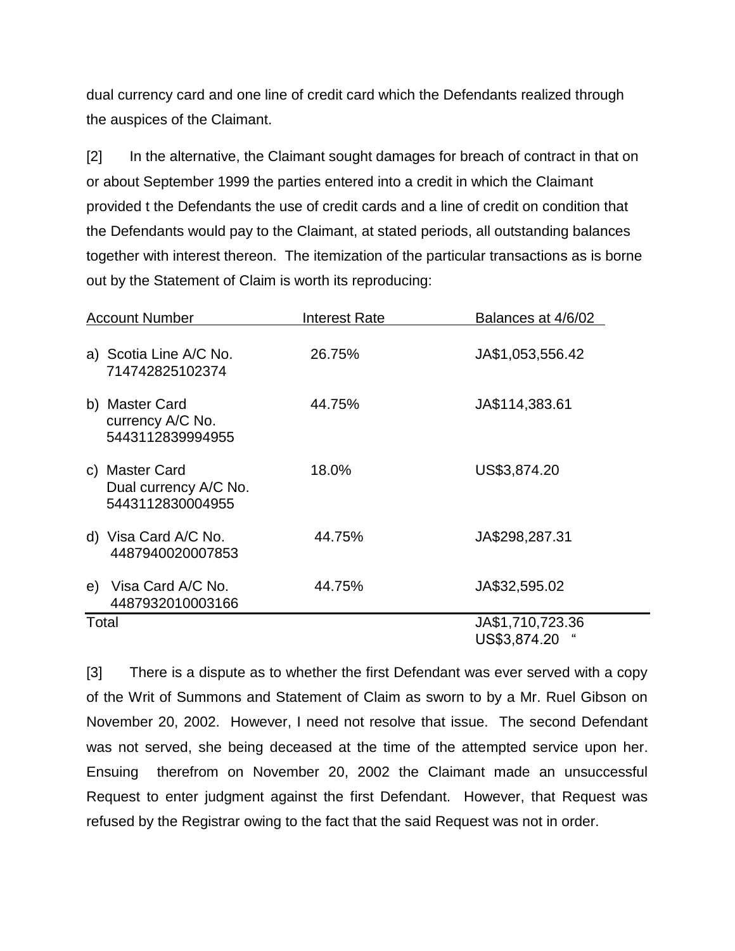dual currency card and one line of credit card which the Defendants realized through the auspices of the Claimant.

[2] In the alternative, the Claimant sought damages for breach of contract in that on or about September 1999 the parties entered into a credit in which the Claimant provided t the Defendants the use of credit cards and a line of credit on condition that the Defendants would pay to the Claimant, at stated periods, all outstanding balances together with interest thereon. The itemization of the particular transactions as is borne out by the Statement of Claim is worth its reproducing:

| <b>Account Number</b>                                       | <b>Interest Rate</b> | Balances at 4/6/02               |
|-------------------------------------------------------------|----------------------|----------------------------------|
| a) Scotia Line A/C No.<br>714742825102374                   | 26.75%               | JA\$1,053,556.42                 |
| b) Master Card<br>currency A/C No.<br>5443112839994955      | 44.75%               | JA\$114,383.61                   |
| c) Master Card<br>Dual currency A/C No.<br>5443112830004955 | 18.0%                | US\$3,874.20                     |
| d) Visa Card A/C No.<br>4487940020007853                    | 44.75%               | JA\$298,287.31                   |
| e) Visa Card A/C No.<br>4487932010003166                    | 44.75%               | JA\$32,595.02                    |
| Total                                                       |                      | JA\$1,710,723.36<br>US\$3,874.20 |

[3] There is a dispute as to whether the first Defendant was ever served with a copy of the Writ of Summons and Statement of Claim as sworn to by a Mr. Ruel Gibson on November 20, 2002. However, I need not resolve that issue. The second Defendant was not served, she being deceased at the time of the attempted service upon her. Ensuing therefrom on November 20, 2002 the Claimant made an unsuccessful Request to enter judgment against the first Defendant. However, that Request was refused by the Registrar owing to the fact that the said Request was not in order.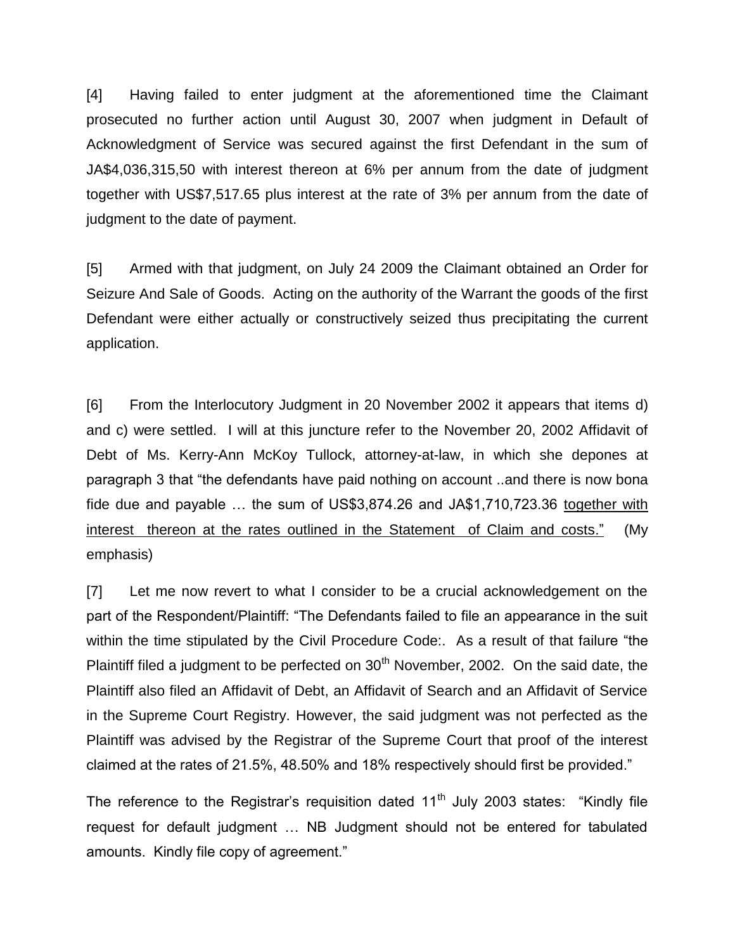[4] Having failed to enter judgment at the aforementioned time the Claimant prosecuted no further action until August 30, 2007 when judgment in Default of Acknowledgment of Service was secured against the first Defendant in the sum of JA\$4,036,315,50 with interest thereon at 6% per annum from the date of judgment together with US\$7,517.65 plus interest at the rate of 3% per annum from the date of judgment to the date of payment.

[5] Armed with that judgment, on July 24 2009 the Claimant obtained an Order for Seizure And Sale of Goods. Acting on the authority of the Warrant the goods of the first Defendant were either actually or constructively seized thus precipitating the current application.

[6] From the Interlocutory Judgment in 20 November 2002 it appears that items d) and c) were settled. I will at this juncture refer to the November 20, 2002 Affidavit of Debt of Ms. Kerry-Ann McKoy Tullock, attorney-at-law, in which she depones at paragraph 3 that "the defendants have paid nothing on account ..and there is now bona fide due and payable … the sum of US\$3,874.26 and JA\$1,710,723.36 together with interest thereon at the rates outlined in the Statement of Claim and costs." (My emphasis)

[7] Let me now revert to what I consider to be a crucial acknowledgement on the part of the Respondent/Plaintiff: "The Defendants failed to file an appearance in the suit within the time stipulated by the Civil Procedure Code:. As a result of that failure "the Plaintiff filed a judgment to be perfected on  $30<sup>th</sup>$  November, 2002. On the said date, the Plaintiff also filed an Affidavit of Debt, an Affidavit of Search and an Affidavit of Service in the Supreme Court Registry. However, the said judgment was not perfected as the Plaintiff was advised by the Registrar of the Supreme Court that proof of the interest claimed at the rates of 21.5%, 48.50% and 18% respectively should first be provided."

The reference to the Registrar's requisition dated  $11<sup>th</sup>$  July 2003 states: "Kindly file request for default judgment … NB Judgment should not be entered for tabulated amounts. Kindly file copy of agreement."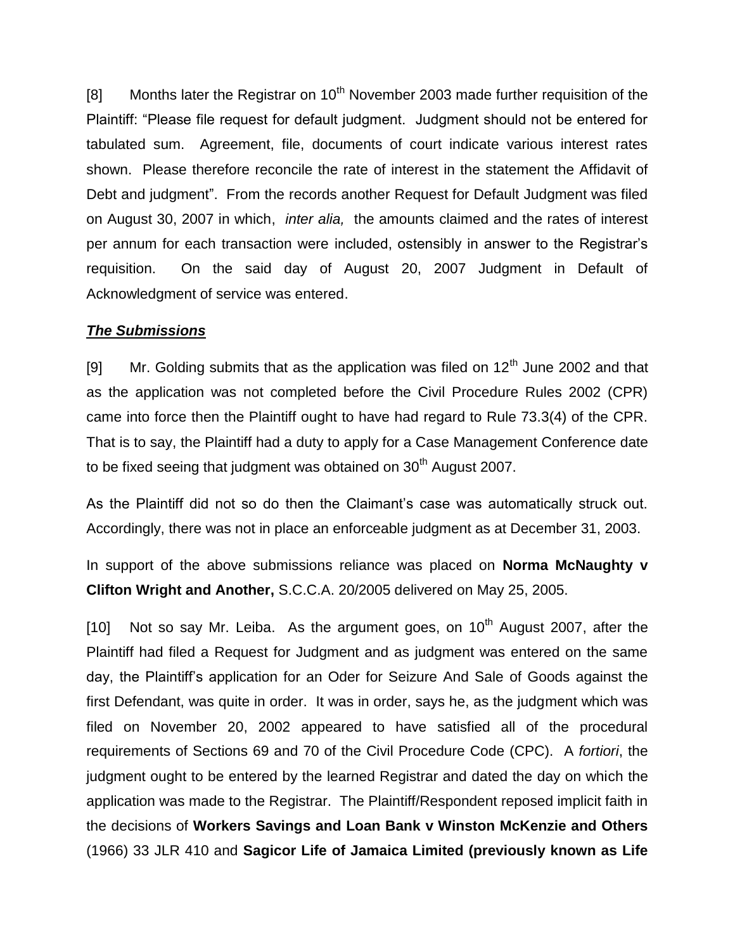[8] Months later the Registrar on  $10<sup>th</sup>$  November 2003 made further requisition of the Plaintiff: "Please file request for default judgment. Judgment should not be entered for tabulated sum. Agreement, file, documents of court indicate various interest rates shown. Please therefore reconcile the rate of interest in the statement the Affidavit of Debt and judgment". From the records another Request for Default Judgment was filed on August 30, 2007 in which, *inter alia,* the amounts claimed and the rates of interest per annum for each transaction were included, ostensibly in answer to the Registrar's requisition. On the said day of August 20, 2007 Judgment in Default of Acknowledgment of service was entered.

#### *The Submissions*

[9] Mr. Golding submits that as the application was filed on  $12<sup>th</sup>$  June 2002 and that as the application was not completed before the Civil Procedure Rules 2002 (CPR) came into force then the Plaintiff ought to have had regard to Rule 73.3(4) of the CPR. That is to say, the Plaintiff had a duty to apply for a Case Management Conference date to be fixed seeing that judgment was obtained on  $30<sup>th</sup>$  August 2007.

As the Plaintiff did not so do then the Claimant's case was automatically struck out. Accordingly, there was not in place an enforceable judgment as at December 31, 2003.

In support of the above submissions reliance was placed on **Norma McNaughty v Clifton Wright and Another,** S.C.C.A. 20/2005 delivered on May 25, 2005.

[10] Not so say Mr. Leiba. As the argument goes, on  $10<sup>th</sup>$  August 2007, after the Plaintiff had filed a Request for Judgment and as judgment was entered on the same day, the Plaintiff's application for an Oder for Seizure And Sale of Goods against the first Defendant, was quite in order. It was in order, says he, as the judgment which was filed on November 20, 2002 appeared to have satisfied all of the procedural requirements of Sections 69 and 70 of the Civil Procedure Code (CPC). A *fortiori*, the judgment ought to be entered by the learned Registrar and dated the day on which the application was made to the Registrar. The Plaintiff/Respondent reposed implicit faith in the decisions of **Workers Savings and Loan Bank v Winston McKenzie and Others** (1966) 33 JLR 410 and **Sagicor Life of Jamaica Limited (previously known as Life**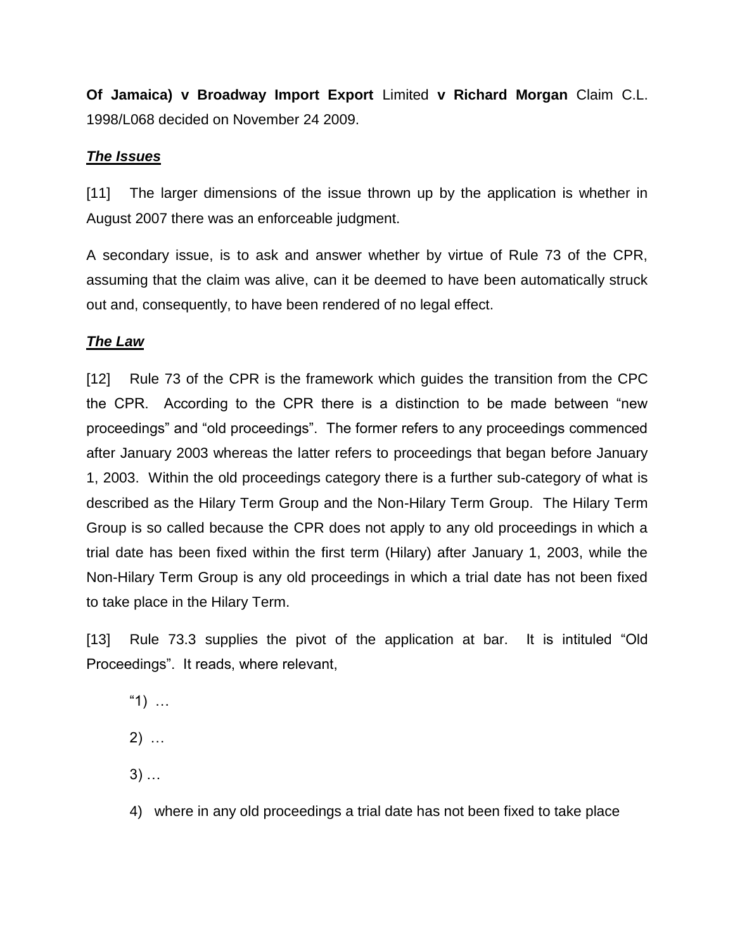**Of Jamaica) v Broadway Import Export** Limited **v Richard Morgan** Claim C.L. 1998/L068 decided on November 24 2009.

### *The Issues*

[11] The larger dimensions of the issue thrown up by the application is whether in August 2007 there was an enforceable judgment.

A secondary issue, is to ask and answer whether by virtue of Rule 73 of the CPR, assuming that the claim was alive, can it be deemed to have been automatically struck out and, consequently, to have been rendered of no legal effect.

# *The Law*

[12] Rule 73 of the CPR is the framework which guides the transition from the CPC the CPR. According to the CPR there is a distinction to be made between "new proceedings" and "old proceedings". The former refers to any proceedings commenced after January 2003 whereas the latter refers to proceedings that began before January 1, 2003. Within the old proceedings category there is a further sub-category of what is described as the Hilary Term Group and the Non-Hilary Term Group. The Hilary Term Group is so called because the CPR does not apply to any old proceedings in which a trial date has been fixed within the first term (Hilary) after January 1, 2003, while the Non-Hilary Term Group is any old proceedings in which a trial date has not been fixed to take place in the Hilary Term.

[13] Rule 73.3 supplies the pivot of the application at bar. It is intituled "Old Proceedings". It reads, where relevant,

- "1) …
- 2) …
- 3) …
- 4) where in any old proceedings a trial date has not been fixed to take place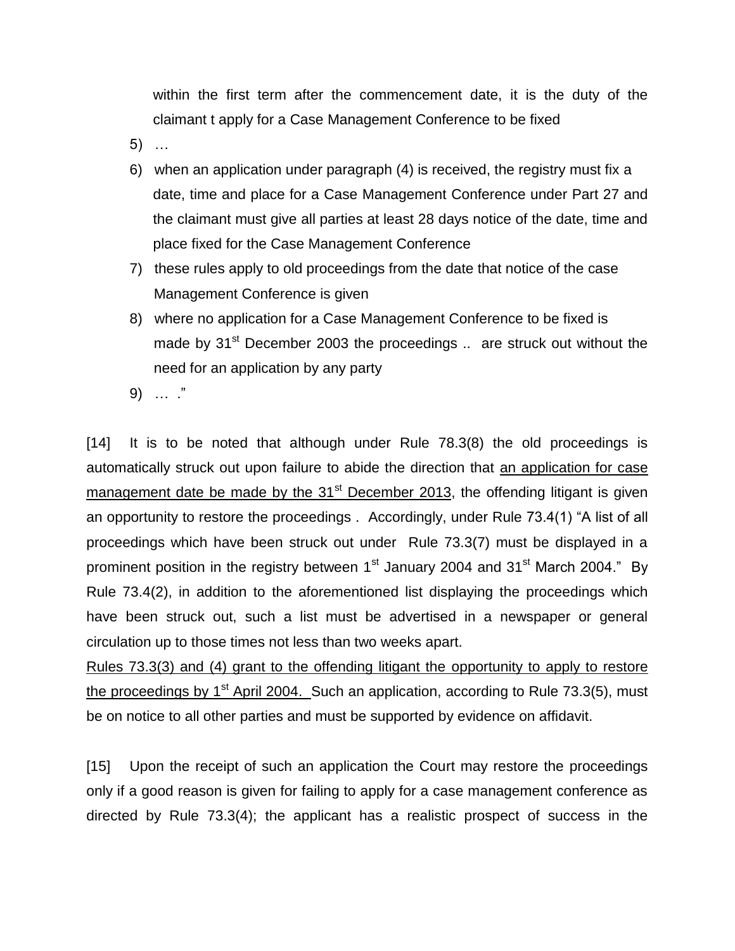within the first term after the commencement date, it is the duty of the claimant t apply for a Case Management Conference to be fixed

- 5) …
- 6) when an application under paragraph (4) is received, the registry must fix a date, time and place for a Case Management Conference under Part 27 and the claimant must give all parties at least 28 days notice of the date, time and place fixed for the Case Management Conference
- 7) these rules apply to old proceedings from the date that notice of the case Management Conference is given
- 8) where no application for a Case Management Conference to be fixed is made by  $31<sup>st</sup>$  December 2003 the proceedings  $\ldots$  are struck out without the need for an application by any party
- 9) … ."

[14] It is to be noted that although under Rule 78.3(8) the old proceedings is automatically struck out upon failure to abide the direction that an application for case management date be made by the  $31<sup>st</sup>$  December 2013, the offending litigant is given an opportunity to restore the proceedings . Accordingly, under Rule 73.4(1) "A list of all proceedings which have been struck out under Rule 73.3(7) must be displayed in a prominent position in the registry between  $1<sup>st</sup>$  January 2004 and 31 $<sup>st</sup>$  March 2004." By</sup> Rule 73.4(2), in addition to the aforementioned list displaying the proceedings which have been struck out, such a list must be advertised in a newspaper or general circulation up to those times not less than two weeks apart.

Rules 73.3(3) and (4) grant to the offending litigant the opportunity to apply to restore the proceedings by  $1<sup>st</sup>$  April 2004. Such an application, according to Rule 73.3(5), must be on notice to all other parties and must be supported by evidence on affidavit.

[15] Upon the receipt of such an application the Court may restore the proceedings only if a good reason is given for failing to apply for a case management conference as directed by Rule 73.3(4); the applicant has a realistic prospect of success in the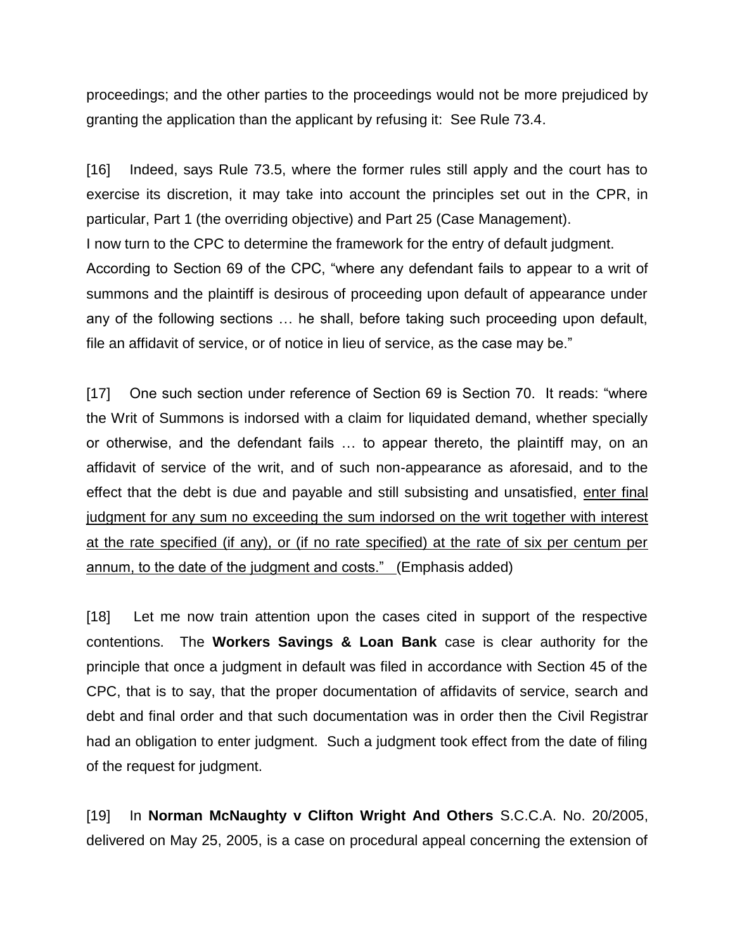proceedings; and the other parties to the proceedings would not be more prejudiced by granting the application than the applicant by refusing it: See Rule 73.4.

[16] Indeed, says Rule 73.5, where the former rules still apply and the court has to exercise its discretion, it may take into account the principles set out in the CPR, in particular, Part 1 (the overriding objective) and Part 25 (Case Management). I now turn to the CPC to determine the framework for the entry of default judgment. According to Section 69 of the CPC, "where any defendant fails to appear to a writ of summons and the plaintiff is desirous of proceeding upon default of appearance under any of the following sections … he shall, before taking such proceeding upon default, file an affidavit of service, or of notice in lieu of service, as the case may be."

[17] One such section under reference of Section 69 is Section 70. It reads: "where the Writ of Summons is indorsed with a claim for liquidated demand, whether specially or otherwise, and the defendant fails … to appear thereto, the plaintiff may, on an affidavit of service of the writ, and of such non-appearance as aforesaid, and to the effect that the debt is due and payable and still subsisting and unsatisfied, enter final judgment for any sum no exceeding the sum indorsed on the writ together with interest at the rate specified (if any), or (if no rate specified) at the rate of six per centum per annum, to the date of the judgment and costs." (Emphasis added)

[18] Let me now train attention upon the cases cited in support of the respective contentions. The **Workers Savings & Loan Bank** case is clear authority for the principle that once a judgment in default was filed in accordance with Section 45 of the CPC, that is to say, that the proper documentation of affidavits of service, search and debt and final order and that such documentation was in order then the Civil Registrar had an obligation to enter judgment. Such a judgment took effect from the date of filing of the request for judgment.

[19] In **Norman McNaughty v Clifton Wright And Others** S.C.C.A. No. 20/2005, delivered on May 25, 2005, is a case on procedural appeal concerning the extension of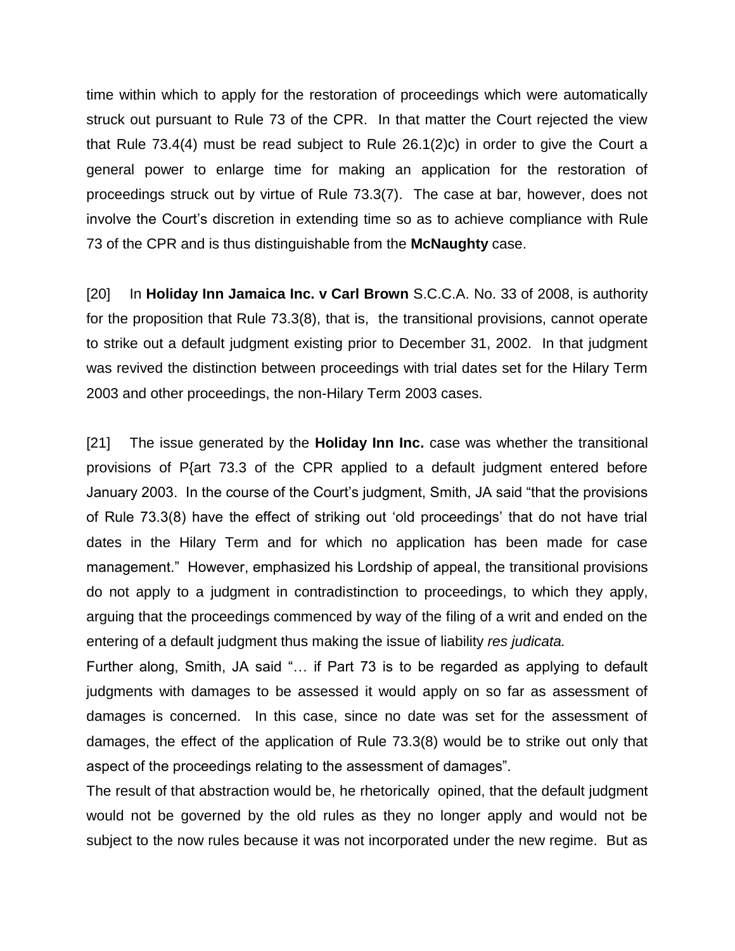time within which to apply for the restoration of proceedings which were automatically struck out pursuant to Rule 73 of the CPR. In that matter the Court rejected the view that Rule 73.4(4) must be read subject to Rule 26.1(2)c) in order to give the Court a general power to enlarge time for making an application for the restoration of proceedings struck out by virtue of Rule 73.3(7). The case at bar, however, does not involve the Court's discretion in extending time so as to achieve compliance with Rule 73 of the CPR and is thus distinguishable from the **McNaughty** case.

[20] In **Holiday Inn Jamaica Inc. v Carl Brown** S.C.C.A. No. 33 of 2008, is authority for the proposition that Rule 73.3(8), that is, the transitional provisions, cannot operate to strike out a default judgment existing prior to December 31, 2002. In that judgment was revived the distinction between proceedings with trial dates set for the Hilary Term 2003 and other proceedings, the non-Hilary Term 2003 cases.

[21] The issue generated by the **Holiday Inn Inc.** case was whether the transitional provisions of P{art 73.3 of the CPR applied to a default judgment entered before January 2003. In the course of the Court's judgment, Smith, JA said "that the provisions of Rule 73.3(8) have the effect of striking out 'old proceedings' that do not have trial dates in the Hilary Term and for which no application has been made for case management." However, emphasized his Lordship of appeal, the transitional provisions do not apply to a judgment in contradistinction to proceedings, to which they apply, arguing that the proceedings commenced by way of the filing of a writ and ended on the entering of a default judgment thus making the issue of liability *res judicata.*

Further along, Smith, JA said "… if Part 73 is to be regarded as applying to default judgments with damages to be assessed it would apply on so far as assessment of damages is concerned. In this case, since no date was set for the assessment of damages, the effect of the application of Rule 73.3(8) would be to strike out only that aspect of the proceedings relating to the assessment of damages".

The result of that abstraction would be, he rhetorically opined, that the default judgment would not be governed by the old rules as they no longer apply and would not be subject to the now rules because it was not incorporated under the new regime. But as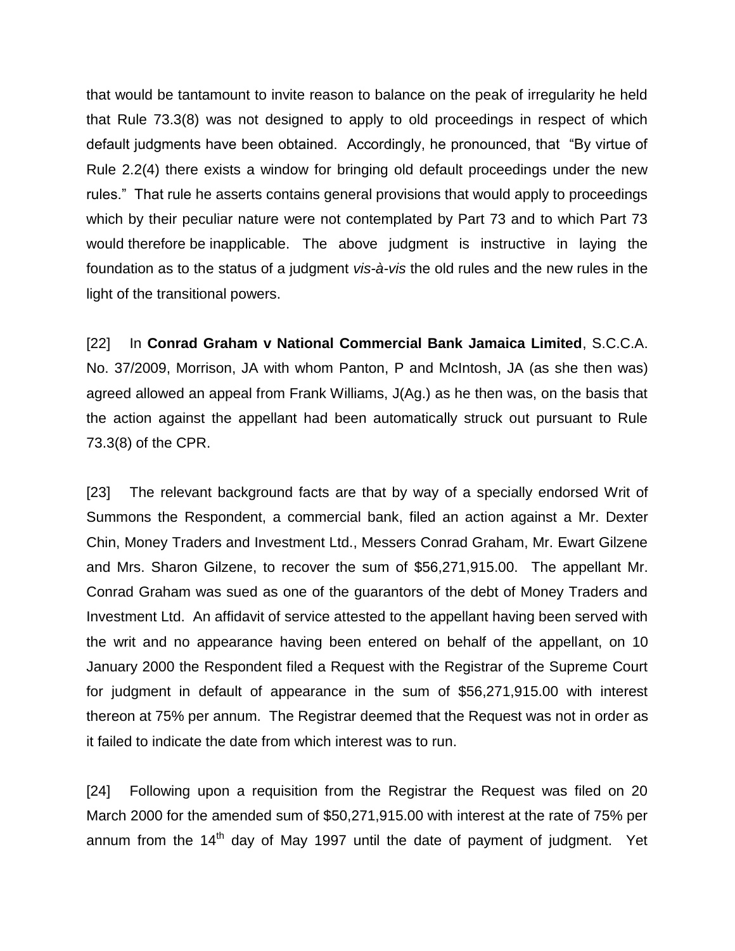that would be tantamount to invite reason to balance on the peak of irregularity he held that Rule 73.3(8) was not designed to apply to old proceedings in respect of which default judgments have been obtained. Accordingly, he pronounced, that "By virtue of Rule 2.2(4) there exists a window for bringing old default proceedings under the new rules." That rule he asserts contains general provisions that would apply to proceedings which by their peculiar nature were not contemplated by Part 73 and to which Part 73 would therefore be inapplicable. The above judgment is instructive in laying the foundation as to the status of a judgment *vis-à-vis* the old rules and the new rules in the light of the transitional powers.

[22] In **Conrad Graham v National Commercial Bank Jamaica Limited**, S.C.C.A. No. 37/2009, Morrison, JA with whom Panton, P and McIntosh, JA (as she then was) agreed allowed an appeal from Frank Williams, J(Ag.) as he then was, on the basis that the action against the appellant had been automatically struck out pursuant to Rule 73.3(8) of the CPR.

[23] The relevant background facts are that by way of a specially endorsed Writ of Summons the Respondent, a commercial bank, filed an action against a Mr. Dexter Chin, Money Traders and Investment Ltd., Messers Conrad Graham, Mr. Ewart Gilzene and Mrs. Sharon Gilzene, to recover the sum of \$56,271,915.00. The appellant Mr. Conrad Graham was sued as one of the guarantors of the debt of Money Traders and Investment Ltd. An affidavit of service attested to the appellant having been served with the writ and no appearance having been entered on behalf of the appellant, on 10 January 2000 the Respondent filed a Request with the Registrar of the Supreme Court for judgment in default of appearance in the sum of \$56,271,915.00 with interest thereon at 75% per annum. The Registrar deemed that the Request was not in order as it failed to indicate the date from which interest was to run.

[24] Following upon a requisition from the Registrar the Request was filed on 20 March 2000 for the amended sum of \$50,271,915.00 with interest at the rate of 75% per annum from the  $14<sup>th</sup>$  day of May 1997 until the date of payment of judgment. Yet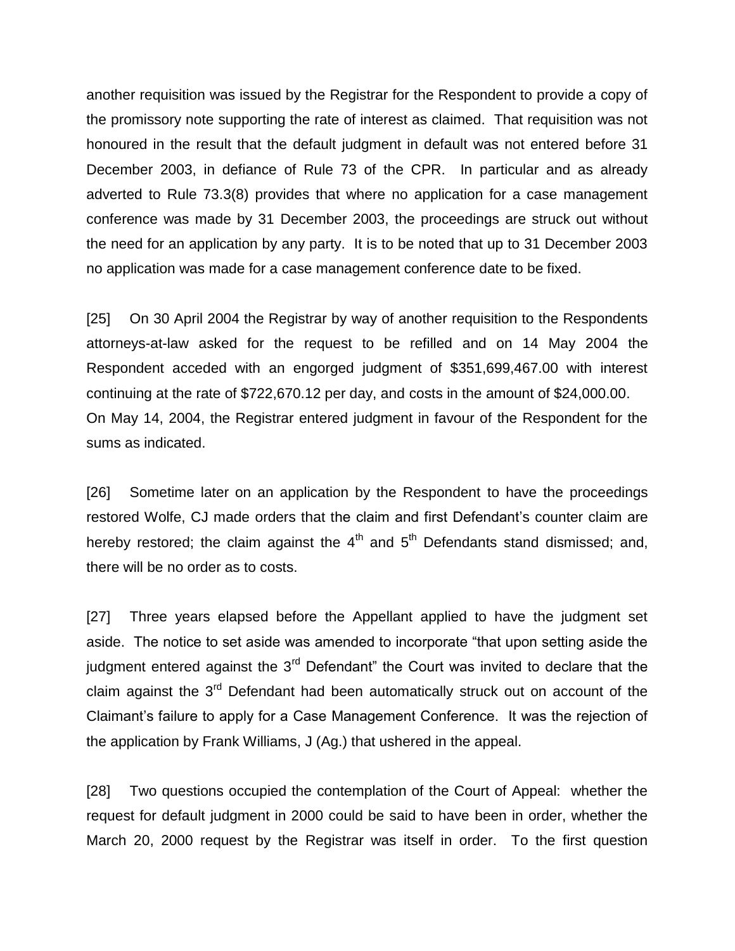another requisition was issued by the Registrar for the Respondent to provide a copy of the promissory note supporting the rate of interest as claimed. That requisition was not honoured in the result that the default judgment in default was not entered before 31 December 2003, in defiance of Rule 73 of the CPR. In particular and as already adverted to Rule 73.3(8) provides that where no application for a case management conference was made by 31 December 2003, the proceedings are struck out without the need for an application by any party. It is to be noted that up to 31 December 2003 no application was made for a case management conference date to be fixed.

[25] On 30 April 2004 the Registrar by way of another requisition to the Respondents attorneys-at-law asked for the request to be refilled and on 14 May 2004 the Respondent acceded with an engorged judgment of \$351,699,467.00 with interest continuing at the rate of \$722,670.12 per day, and costs in the amount of \$24,000.00. On May 14, 2004, the Registrar entered judgment in favour of the Respondent for the sums as indicated.

[26] Sometime later on an application by the Respondent to have the proceedings restored Wolfe, CJ made orders that the claim and first Defendant's counter claim are hereby restored; the claim against the  $4<sup>th</sup>$  and  $5<sup>th</sup>$  Defendants stand dismissed; and, there will be no order as to costs.

[27] Three years elapsed before the Appellant applied to have the judgment set aside. The notice to set aside was amended to incorporate "that upon setting aside the judgment entered against the 3<sup>rd</sup> Defendant" the Court was invited to declare that the claim against the  $3<sup>rd</sup>$  Defendant had been automatically struck out on account of the Claimant's failure to apply for a Case Management Conference. It was the rejection of the application by Frank Williams, J (Ag.) that ushered in the appeal.

[28] Two questions occupied the contemplation of the Court of Appeal: whether the request for default judgment in 2000 could be said to have been in order, whether the March 20, 2000 request by the Registrar was itself in order. To the first question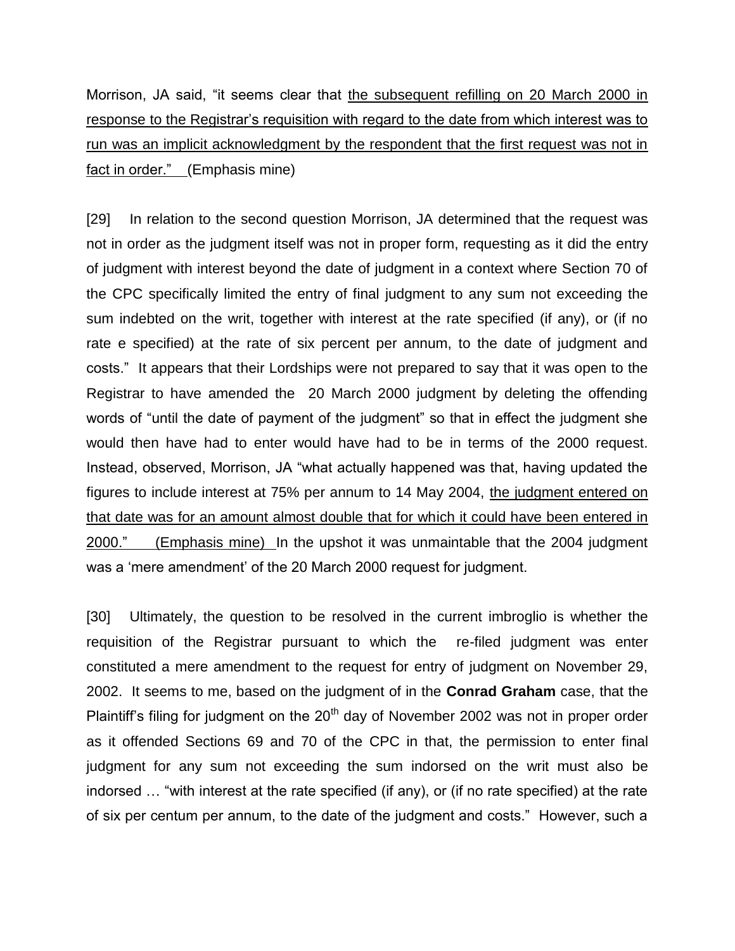Morrison, JA said, "it seems clear that the subsequent refilling on 20 March 2000 in response to the Registrar's requisition with regard to the date from which interest was to run was an implicit acknowledgment by the respondent that the first request was not in fact in order." (Emphasis mine)

[29] In relation to the second question Morrison, JA determined that the request was not in order as the judgment itself was not in proper form, requesting as it did the entry of judgment with interest beyond the date of judgment in a context where Section 70 of the CPC specifically limited the entry of final judgment to any sum not exceeding the sum indebted on the writ, together with interest at the rate specified (if any), or (if no rate e specified) at the rate of six percent per annum, to the date of judgment and costs." It appears that their Lordships were not prepared to say that it was open to the Registrar to have amended the 20 March 2000 judgment by deleting the offending words of "until the date of payment of the judgment" so that in effect the judgment she would then have had to enter would have had to be in terms of the 2000 request. Instead, observed, Morrison, JA "what actually happened was that, having updated the figures to include interest at 75% per annum to 14 May 2004, the judgment entered on that date was for an amount almost double that for which it could have been entered in 2000." (Emphasis mine) In the upshot it was unmaintable that the 2004 judgment was a 'mere amendment' of the 20 March 2000 request for judgment.

[30] Ultimately, the question to be resolved in the current imbroglio is whether the requisition of the Registrar pursuant to which the re-filed judgment was enter constituted a mere amendment to the request for entry of judgment on November 29, 2002. It seems to me, based on the judgment of in the **Conrad Graham** case, that the Plaintiff's filing for judgment on the 20<sup>th</sup> day of November 2002 was not in proper order as it offended Sections 69 and 70 of the CPC in that, the permission to enter final judgment for any sum not exceeding the sum indorsed on the writ must also be indorsed … "with interest at the rate specified (if any), or (if no rate specified) at the rate of six per centum per annum, to the date of the judgment and costs." However, such a